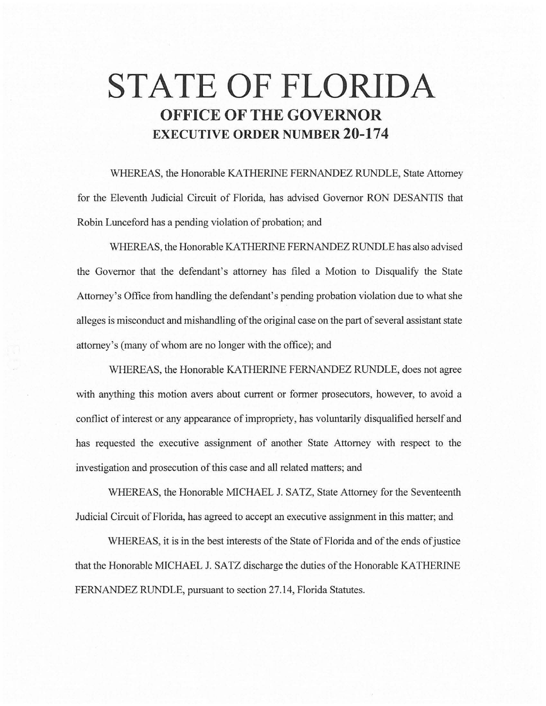# **STATE OF FLORIDA OFFICE OF THE GOVERNOR EXECUTIVE ORDER NUMBER 20-174**

WHEREAS, the Honorable KA THERINE FERNANDEZ RUNDLE, State Attorney for the Eleventh Judicial Circuit of Florida, has advised Governor RON DESANTIS that Robin Lunceford has a pending violation of probation; and

WHEREAS, the Honorable KA THERINE FERNANDEZ RUNDLE has also advised the Governor that the defendant's attorney has filed a Motion to Disqualify the State Attorney's Office from handling the defendant's pending probation violation due to what she alleges is misconduct and mishandling of the original case on the part of several assistant state attorney's (many of whom are no longer with the office); and

WHEREAS, the Honorable KATHERINE FERNANDEZ RUNDLE, does not agree with anything this motion avers about current or former prosecutors, however, to avoid a conflict of interest or any appearance of impropriety, has voluntarily disqualified herself and has requested the executive assignment of another State Attorney with respect to the investigation and prosecution of this case and all related matters; and

WHEREAS, the Honorable MICHAEL J. SATZ, State Attorney for the Seventeenth Judicial Circuit of Florida, has agreed to accept an executive assignment in this matter; and

WHEREAS, it is in the best interests of the State of Florida and of the ends of justice that the Honorable MICHAEL J. SATZ discharge the duties of the Honorable KA THERINE FERNANDEZ RUNDLE, pursuant to section 27.14, Florida Statutes.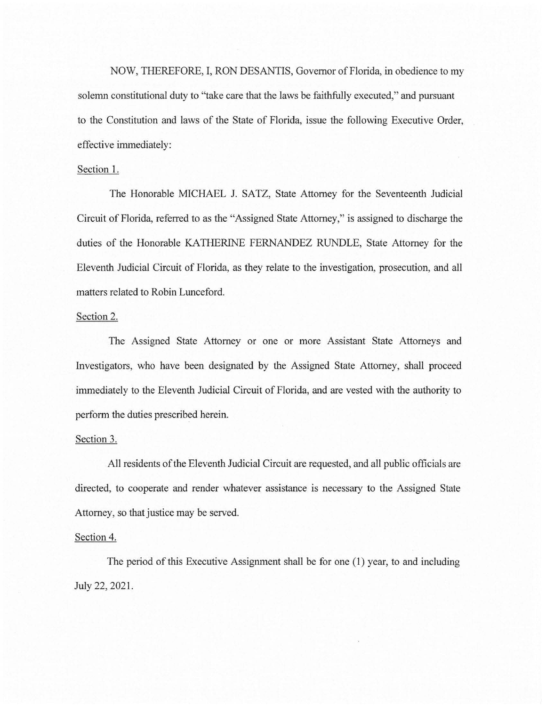NOW, THEREFORE, I, RON DESANTIS, Governor of Florida, in obedience to my solemn constitutional duty to "take care that the laws be faithfully executed," and pursuant to the Constitution and laws of the State of Florida, issue the following Executive Order, effective immediately:

## Section 1.

The Honorable MICHAEL J. SATZ, State Attorney for the Seventeenth Judicial Circuit of Florida, referred to as the "Assigned State Attorney," is assigned to discharge the duties of the Honorable KATHERINE FERNANDEZ RUNDLE, State Attorney for the Eleventh Judicial Circuit of Florida, as they relate to the investigation, prosecution, and all matters related to Robin Lunceford.

### Section 2.

The Assigned State Attorney or one or more Assistant State Attorneys and Investigators, who have been designated by the Assigned State Attorney, shall proceed immediately to the Eleventh Judicial Circuit of Florida, and are vested with the authority to perform the duties prescribed herein.

## Section 3.

All residents of the Eleventh Judicial Circuit are requested, and all public officials are directed, to cooperate and render whatever assistance is necessary to the Assigned State Attorney, so that justice may be served.

#### Section 4.

The period of this Executive Assignment shall be for one (1) year, to and including July 22, 2021.